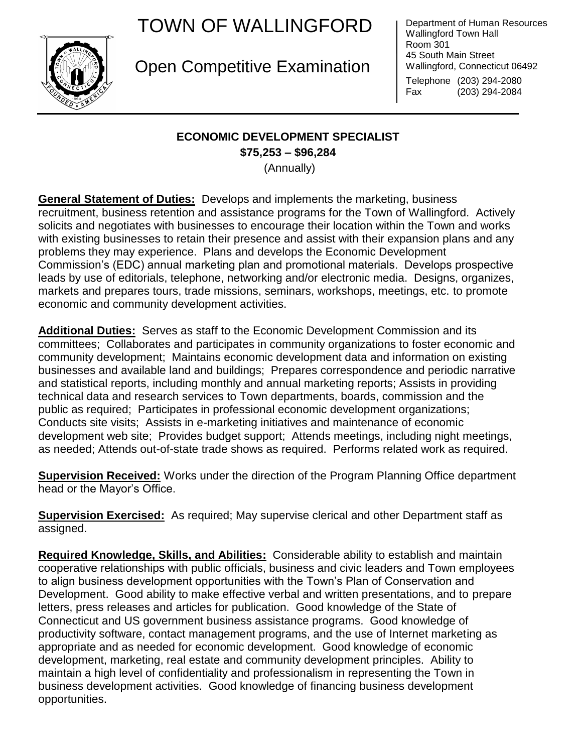## TOWN OF WALLINGFORD



Open Competitive Examination

Department of Human Resources Wallingford Town Hall Room 301 45 South Main Street Wallingford, Connecticut 06492 Telephone (203) 294-2080

Fax (203) 294-2084

## **ECONOMIC DEVELOPMENT SPECIALIST**

**\$75,253 – \$96,284**

(Annually)

**General Statement of Duties:** Develops and implements the marketing, business recruitment, business retention and assistance programs for the Town of Wallingford. Actively solicits and negotiates with businesses to encourage their location within the Town and works with existing businesses to retain their presence and assist with their expansion plans and any problems they may experience. Plans and develops the Economic Development Commission's (EDC) annual marketing plan and promotional materials. Develops prospective leads by use of editorials, telephone, networking and/or electronic media. Designs, organizes, markets and prepares tours, trade missions, seminars, workshops, meetings, etc. to promote economic and community development activities.

**Additional Duties:** Serves as staff to the Economic Development Commission and its committees; Collaborates and participates in community organizations to foster economic and community development; Maintains economic development data and information on existing businesses and available land and buildings; Prepares correspondence and periodic narrative and statistical reports, including monthly and annual marketing reports; Assists in providing technical data and research services to Town departments, boards, commission and the public as required; Participates in professional economic development organizations; Conducts site visits; Assists in e-marketing initiatives and maintenance of economic development web site; Provides budget support; Attends meetings, including night meetings, as needed; Attends out-of-state trade shows as required. Performs related work as required.

**Supervision Received:** Works under the direction of the Program Planning Office department head or the Mayor's Office.

**Supervision Exercised:** As required; May supervise clerical and other Department staff as assigned.

**Required Knowledge, Skills, and Abilities:** Considerable ability to establish and maintain cooperative relationships with public officials, business and civic leaders and Town employees to align business development opportunities with the Town's Plan of Conservation and Development. Good ability to make effective verbal and written presentations, and to prepare letters, press releases and articles for publication. Good knowledge of the State of Connecticut and US government business assistance programs. Good knowledge of productivity software, contact management programs, and the use of Internet marketing as appropriate and as needed for economic development. Good knowledge of economic development, marketing, real estate and community development principles. Ability to maintain a high level of confidentiality and professionalism in representing the Town in business development activities. Good knowledge of financing business development opportunities.